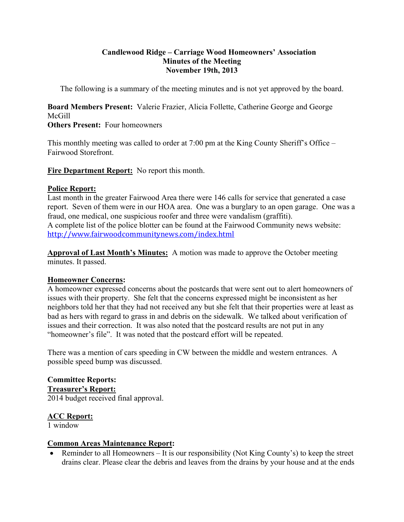## **Candlewood Ridge – Carriage Wood Homeowners' Association Minutes of the Meeting November 19th, 2013**

The following is a summary of the meeting minutes and is not yet approved by the board.

**Board Members Present:** Valerie Frazier, Alicia Follette, Catherine George and George McGill

# **Others Present:** Four homeowners

This monthly meeting was called to order at 7:00 pm at the King County Sheriff's Office – Fairwood Storefront.

**Fire Department Report:** No report this month.

# **Police Report:**

Last month in the greater Fairwood Area there were 146 calls for service that generated a case report. Seven of them were in our HOA area. One was a burglary to an open garage. One was a fraud, one medical, one suspicious roofer and three were vandalism (graffiti). A complete list of the police blotter can be found at the Fairwood Community news website: http://www.fairwoodcommunitynews.com/index.html

**Approval of Last Month's Minutes:** A motion was made to approve the October meeting minutes. It passed.

# **Homeowner Concerns:**

A homeowner expressed concerns about the postcards that were sent out to alert homeowners of issues with their property. She felt that the concerns expressed might be inconsistent as her neighbors told her that they had not received any but she felt that their properties were at least as bad as hers with regard to grass in and debris on the sidewalk. We talked about verification of issues and their correction. It was also noted that the postcard results are not put in any "homeowner's file". It was noted that the postcard effort will be repeated.

There was a mention of cars speeding in CW between the middle and western entrances. A possible speed bump was discussed.

#### **Committee Reports: Treasurer's Report:** 2014 budget received final approval.

# **ACC Report:**

1 window

# **Common Areas Maintenance Report:**

• Reminder to all Homeowners – It is our responsibility (Not King County's) to keep the street drains clear. Please clear the debris and leaves from the drains by your house and at the ends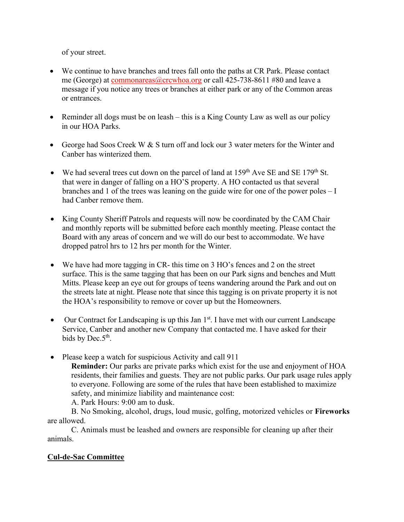of your street.

- We continue to have branches and trees fall onto the paths at CR Park. Please contact me (George) at commonareas@crcwhoa.org or call 425-738-8611 #80 and leave a message if you notice any trees or branches at either park or any of the Common areas or entrances.
- Reminder all dogs must be on leash this is a King County Law as well as our policy in our HOA Parks.
- George had Soos Creek W & S turn off and lock our 3 water meters for the Winter and Canber has winterized them.
- We had several trees cut down on the parcel of land at  $159<sup>th</sup>$  Ave SE and SE  $179<sup>th</sup>$  St. that were in danger of falling on a HO'S property. A HO contacted us that several branches and 1 of the trees was leaning on the guide wire for one of the power poles – I had Canber remove them.
- King County Sheriff Patrols and requests will now be coordinated by the CAM Chair and monthly reports will be submitted before each monthly meeting. Please contact the Board with any areas of concern and we will do our best to accommodate. We have dropped patrol hrs to 12 hrs per month for the Winter.
- We have had more tagging in CR- this time on 3 HO's fences and 2 on the street surface. This is the same tagging that has been on our Park signs and benches and Mutt Mitts. Please keep an eye out for groups of teens wandering around the Park and out on the streets late at night. Please note that since this tagging is on private property it is not the HOA's responsibility to remove or cover up but the Homeowners.
- $\bullet$  Our Contract for Landscaping is up this Jan 1<sup>st</sup>. I have met with our current Landscape Service, Canber and another new Company that contacted me. I have asked for their bids by Dec. $5<sup>th</sup>$ .
- Please keep a watch for suspicious Activity and call 911

**Reminder:** Our parks are private parks which exist for the use and enjoyment of HOA residents, their families and guests. They are not public parks. Our park usage rules apply to everyone. Following are some of the rules that have been established to maximize safety, and minimize liability and maintenance cost:

A. Park Hours: 9:00 am to dusk.

B. No Smoking, alcohol, drugs, loud music, golfing, motorized vehicles or **Fireworks**  are allowed.

C. Animals must be leashed and owners are responsible for cleaning up after their animals.

# **Cul-de-Sac Committee**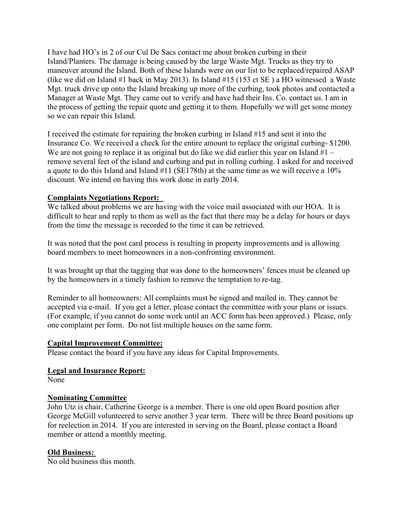I have had HO's in 2 of our Cul De Sacs contact me about broken curbing in their Island/Planters. The damage is being caused by the large Waste Mgt. Trucks as they try to maneuver around the Island. Both of these Islands were on our list to be replaced/repaired ASAP (like we did on Island #1 back in May 2013). In Island #15 (153 ct SE ) a HO witnessed a Waste Mgt. truck drive up onto the Island breaking up more of the curbing, took photos and contacted a Manager at Waste Mgt. They came out to verify and have had their Ins. Co. contact us. I am in the process of getting the repair quote and getting it to them. Hopefully we will get some money so we can repair this Island.

I received the estimate for repairing the broken curbing in Island #15 and sent it into the Insurance Co. We received a check for the entire amount to replace the original curbing- \$1200. We are not going to replace it as original but do like we did earlier this year on Island  $#1$ remove several feet of the island and curbing and put in rolling curbing. I asked for and received a quote to do this Island and Island #11 (SE178th) at the same time as we will receive a 10% discount. We intend on having this work done in early 2014.

## **Complaints Negotiations Report:**

We talked about problems we are having with the voice mail associated with our HOA. It is difficult to hear and reply to them as well as the fact that there may be a delay for hours or days from the time the message is recorded to the time it can be retrieved.

It was noted that the post card process is resulting in property improvements and is allowing board members to meet homeowners in a non-confronting environment.

It was brought up that the tagging that was done to the homeowners' fences must be cleaned up by the homeowners in a timely fashion to remove the temptation to re-tag.

Reminder to all homeowners: All complaints must be signed and mailed in. They cannot be accepted via e-mail. If you get a letter, please contact the committee with your plans or issues. (For example, if you cannot do some work until an ACC form has been approved.) Please, only one complaint per form. Do not list multiple houses on the same form.

### **Capital Improvement Committee:**

Please contact the board if you have any ideas for Capital Improvements.

### **Legal and Insurance Report:**

None

#### **Nominating Committee**

John Utz is chair, Catherine George is a member. There is one old open Board position after George McGill volunteered to serve another 3 year term. There will be three Board positions up for reelection in 2014. If you are interested in serving on the Board, please contact a Board member or attend a monthly meeting.

### **Old Business:**

No old business this month.